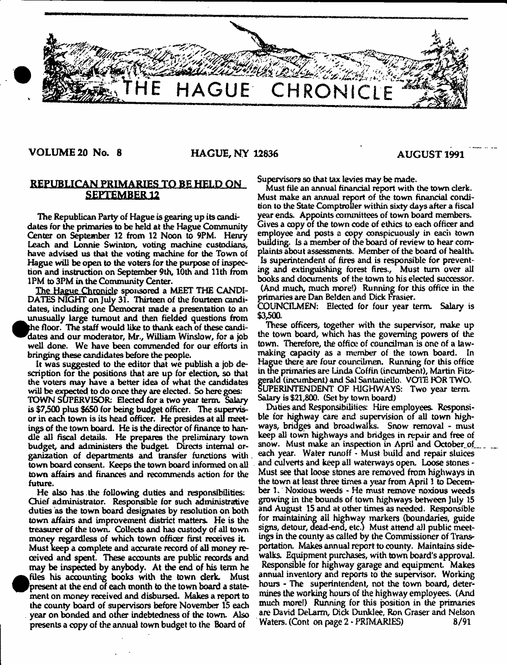

# VOLUME 20 No. 8 HAGUE, NY 12836 AUGUST 1991

# **REPUBLICAN PRIMARIES TO BE HELD ON SEPTEMBER 12**

The Republican Party of Hague is gearing up its candidates for the primaries to be held at the Hague Community Center on September 12 from 12 Noon to 9PM. Henry Leach and Lonnie Swinton, voting machine custodians, have advised us that the voting machine for the Town of Hague will be open to the voters for the purpose of inspection and instruction on September 9th, 10th and 11th from 1PM to 3PM in the Community Center.

The Hague Chronicle sponsored a MEET THE CANDI-DATES NIGHT on July 31. Thirteen of the fourteen candidates, including one Democrat made a presentation to an  $\bullet$ unusually large turnout and then fielded questions from pie floor. The staff would like to thank each of these candidates and our moderator, Mr., William Winslow, for a job well done. We have been commended for our efforts in bringing these candidates before the people.

It was suggested to the editor that we publish a job description for the positions that are up for election, so that the voters may have a better idea of what the candidates will be expected to do once they are elected. So here goes: TOWN SUPERVISOR: Elected for a two year term. Salary is \$7,500 plus \$650 for being budget officer. The supervisor in each town is its head officer. He presides at all meetings of the town board. He is the director of finance to handle all fiscal details. He prepares the preliminary town budget, and administers the budget Directs internal organization of departments and transfer functions with town board consent. Keeps the town board informed on all town affairs and finances and recommends action for the future.

He also has the following duties and responsibilities: Chief administrator. Responsible for such administrative duties as the town board designates by resolution on both town affairs and improvement district matters. He is the treasurer of the town. Collects and has custody of all town money regardless of which town officer first receives it Must keep a complete and accurate record of all money received and spent. These accounts are public records and may be inspected by anybody. At die end of his term he **•** files his accounting books with the town derk. Must present at the end of each month to the town board a statement on money received and disbursed. Makes a report to the county board of supervisors before November 15 each year on bonded and other indebtedness of the town. Also presents a copy of the annual town budget to the Board of

Supervisors so that tax levies may be made.

Must file an annual financial report with the town clerk. Must make an annual report of the town financial condition to the State Comptroller within sixty days after a fiscal year ends. Appoints committees of town board members. Gives a copy of the town code of ethics to each officer and employee and posts a copy conspicuously in each town building. Is a member of the board of review to hear complaints about assessments. Member of the board of health. Is superintendent of fires and is responsible for preventing and extinguishing forest fires., Must turn over all books and documents of the town to his elected successor. (And much, much more!) Running for this office in the primaries are Dan Belden and Dick Frasier.

COUNCILMEN: Elected for four year term. Salary is \$3,500.

These officers, together with the supervisor, make up the town board, which has the governing powers of the town. Therefore, the office of councilman is one of a lawmaking capacity as a member of the town board. In Hague there are four councilmen. Running for this office in the primaries are Linda Coffin (incumbent), Martin Fitz**f** erald (incumbent) and Sal Santoniello. VOTE fOR TWO. UPER1NTENDENT OF HIGHWAYS: Two year term. Salary is \$21,800. (Set by town board)

Duties and Responsibilities: Hire employees. Responsible for highway care and supervision of all town highways, bridges and broad walks. Snow removal - must keep all town highways and bridges in repair and free of snow. Must make an inspection in April and October of each year. Water runoff - Must build and repair sluices and culverts and keep all waterways open. Loose stones - Must see that loose stones are removed from highways in the town at least three times a year from April 1 to December 1. Noxious weeds - He must remove noxious weeds growing in the bounds of town highways between July 15 and August 15 and at other times as needed, Responsible for maintaining all highway markers (boundaries, guide signs, detour, dead-end, etc.) Must attend all public meetings in the county as called by the Commissioner of Transportation. Makes annual report to county. Maintains sidewalks. Equipment purchases, with town board's approval. Responsible for highway garage and equipment Makes annual inventory and reports to the supervisor. Working hours - The superintendent, not the town board, determines the working hours of the highway employees. (And much more!) Running for this position in the primaries are David DeLarm, Dick Dunklee, Ron Graser and Nelson Waters. (Cont on page 2 - PRIMARIES) 8/91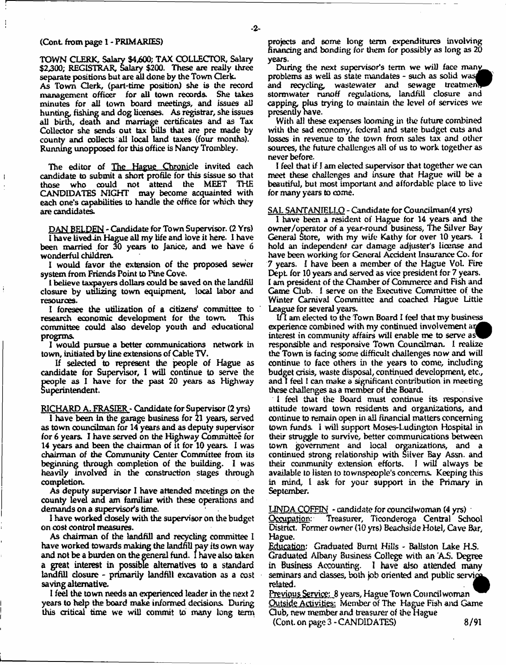TOWN CLERK, Salary \$4,600; TAX COLLECTOR, Salary \$2,300; REGISTRAR, Salary \$200. These are really three separate positions but are ail done by the Town Clerk.

As Town Clerk, (part-time position) she is the record management officer for all town reoonds. She takes minutes for all town board meetings, and issues all hunting, fishing and dog licenses. As registrar, she issues all birth, death and marriage certificates and as Tax Collector she sends out tax bills that are pre made by county and collects all local land taxes (four months). Running unopposed for this office is Nancy Trombley.

The editor of The Hague Chronicle invited each candidate to submit a short profile for this sissue so that those who could not attend the MEET CANDIDATES NIGHT may become acquainted with each one's capabilities to handle the office for which they are candidates.

DAN BELDEN - Candidate for Town Supervisor. (2 Yrs) **I** have **lived** tin Hague all my life and love it here. **1** have been married for 30 years to Janice, and we have 6 wonderful children.

I would favor the extension of the proposed sewer system from Friends Point to Pine Cove.

1 believe taxpayers dollars could be saved on the landfill closure by utilizing town equipment, local labor and resources.

I foresee the utilization of a citizens' committee to research economic development for the town. committee could also develop youth and educational progrms.

1 would pursue a better communications network in town, initiated by line extensions of Cable TV.

If selected to represent the people of Hague as candidate for Supervisor, 1 will continue to serve the people as 1 have for the past 20 years as Highway Superintendent.

RICHARD A. FRASIER - Candidate for Supervisor (2 yrs)

I have been in the garage business for 21 years, served as town councilman for 14 years and as deputy supervisor for 6 years. I have served on the Highway Committee for 14 years and been the chairman of it for 10 years. I was chairman of the Community Center Committee from its beginning through completion of die building. 1 was heavily involved in the construction stages through completion.

As deputy supervisor I have attended meetings on the county level and am familiar with these operations and demands on a supervisor's time.

1 have worked closely with the supervisor on the budget on cost control measures.

As chairman of the landfill and recycling committee 1 have worked towards making the landfill pay its own way and not be a burden on the general fund. I have also taken a great interest in possible alternatives to a standard landfill closure - primarily landfill excavation as a cost saving alternative.

1 feel the town needs an experienced leader in the next *2* years to help the board make informed decisions. During this critical time we will commit to many long term

projects and some long term expenditures involving financing and bonding for them for possibly as long as 20 years.

During the next supervisor's term we will face many problems as well as state mandates - such as solid was and recycling, wastewater and sewage treatment storm water runoff regulations, landfill closure and capping, plus trying to maintain the level of services we presently nave.

With all these expenses looming in the future combined with the sad economy, federal and state budget cuts and losses in revenue to the town from sales tax and other sources, the future challenges all of us to work together as never before.

I feel that if J. am elected supervisor that together we can meet these challenges and insure that Hague will be a beautiful, but most important and affordable place to live for many years to come.

SAL SANTANIELLO - Candidate for Councilman(4 yrs)

I have been a resident of Hague for 14 years and the owner/operator of a year-round business, The Silver Bay General Store, with my wife Kathy for over 10 years. I hold an independent car damage adjuster's license and have been working for General Accident Insurance Co. for 7 years, *I* have been a member of the Hague Vol. Fire Dept for 10 years and served as vice president for *7* years. I am president of the Chamber of Commerce and Fish and Game Club. I serve on the Executive Committee of the Winter Carnival Committee and coached Hague Little League for several years.

Ifl am elected to the Town Board I feel that my business experience combined with my continued involvement interest in community affairs will enable me to serve responsible and responsive Town Councilman. 1 realize the Town is faring some difficult challenges now and will continue to face others in the years to come, including budget crisis, waste disposal, continued development, etc., and I feel 1 cam make a significant contribution in meeting these challenges as a member of the Board.

1 feel that the Board must continue its responsive attitude toward town residents and organisations, and continue to remain open in all financial matters concerning town funds. 1 will support Mases-Ludington Hospital in their struggle to survive, better communications between town government and local organizations, and a continued strong relationship with Silver Bay Assn. and their community extension efforts. I will always be available to listen to townspeople's concerns. Keeping this in mind, 1 ask for your support in the Primary in September.

 $LINDA COFFIN - candidate for count two man (4 yrs)$ 

Occupation: Treasurer, Ticonderoga Central School Distnct. Former owner (10 yrs) Beachside Hotel, Cave Bar, Hague.

Education: Graduated Burnt Hills - Baliston Lake H.S. Graduated Albany Business College with an AS. Degree in Business Accounting. I have also attended many seminars and classes, both job oriented and public service related. .

Previous Service: 8 years, Hague Town Conncil woman Outside Activities: Member of The Hague Fish and Game Qub, new member and treasurer of the Hague (Cont. on page  $3 -$  CANDIDATES) 8/91

*2-*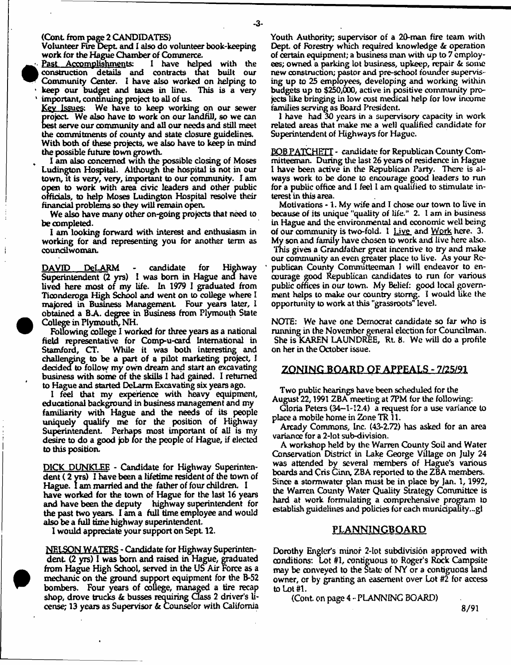#### (Cont from page 2 CANDIDATES)

Volunteer Fire Dept and I also do volunteer book-keeping

work for the Hague Chamber of Commerce.<br>Past Accomplishments: I have help I have helped with the construction details and contracts that built our Community Center. I have also worked on helping to keep our budget and taxes in line. important, continuing project to all of us.

Key Issues: We have to keep working on our sewer project We also have to work on our landfill, so we can best serve our community and all our needs and still meet the commitments of county and state closure guidelines. With both of these projects, we also have to keep in mind the possible future town growth.

I am also concerned with the possible closing of Moses Ludington Hospital. Although the hospital is not in our town, it is very, very, important to our community. I am open to work with area civic leaders and other public officials, to help Moses Ludington Hospital resolve their financial problems so they will remain open.

We also have many other on-going projects that need to be completed.

I am looking forward with interest and enthusiasm in working for and representing you for another term as councilwoman.

DAVID PeLARM - candidate for Highway Superintendent (2 yrs) I was bom in Hague and have lived here most of my life. In 1979 1 graduated from Hconderoga High School and went on to college where I majored in Business Management Four years later, I obtained a BA. degree in Business from Plymouth State College in Plymouth, NH.

Following college I worked for three years as a national field representative for Comp-u-cara International in Stamford, CT. While it was both interesting and challenging to be a part of a pilot marketing project, I decided to follow my own dream and start an excavating business with some of the skills 1 had gained. 1 returned to Hague and started DeLarm Excavating six years ago.

1 feel that my experience with heavy equipment, educational background in business management and my familiarity with Hague and the needs of its people uniquely qualify me for the position of Highway Superintendent. Perhaps most important of all is my desire to do a good job for the people of Hague, if elected to this position.

DICK DUNKLEE - Candidate for Highway Superintendent (2 yrs) I have been a lifetime resident of the town of Hague. I am married and the father of four children. I have worked for the town of Hague for the last 16 years and have been the deputy highway superintendent for the past two years. I am a full time employee and would also be a full time highway superintendent.

1 would appreciate your support on Sept 12.

NELSON WATERS - Candidate for Highway Superintendent (2 yrs) I was bom and raised in Hague, graduated from Hague High School, served in the US Air Force as a mechanic on the ground support equipment for the B-52 bombers. Four years of college, managed a tire recap shop, drove trucks & busses requiring Class 2 driver's license; 13 years as Supervisor & Counselor with California

Youth Authority; supervisor of a 20-man fire team with Dept. of Forestry which required knowledge & operation of certain equipment; a business man with up to 7 employees; owned a parking lot business, upkeep, repair & some new construction; pastor and pre-school founder supervising up to 25 employees, developing and working within budgets up to \$250,000, active in positive community projects like bringing in low cost medical help for low income families serving as Board President.

1 have had 30 years in a supervisory capacity in work related areas that make me a well qualified candidate for Superintendent of Highways for Hague.

BOB PATCHBTT - candidate for Republican County Committeeman. During the last 26 years of residence in Hague I have been active in the Republican Party. There is always work to be done to encourage good leaders to run for a public office and I feel I am qualified to stimulate interest in this area.

Motivations -1, My wife and I chose our town to live in because of its unique "quality of life." 2. I am in business in Hague and the environmental and economic well being of our community is two-fold.  $1$  Live and Work here. 3. My son and family have chosen to work and live here also. This gives a Grandfather great incentive to try and make our community an even greater place to live. As your Republican County Committeeman 1 will endeavor to encourage good Republican candidates to run for various public offices in our town. My Belief: good local government helps to make our country stomg. I would tike the opportunity to work at this "grassroots" level.

NOTE: We have one Democrat candidate so far who is running in the November general election for Councilman. She is KAREN LAUNDREE, Rt. 8. We will do a profile on her in the October issue.

## ZONING BOARD OF APPEALS - 7/25/91

Two public hearings have been scheduled for the

August 22,19912BA meeting at 7PM for the following: Gloria Peters (34-1-12.4) a request for a use variance to place a mobile home in Zone TR11.

Arcady Commons, Inc. (43-2.72) has asked for an area variance for a 2-Iot sub-division.

A workshop held by the Warren County Soil and Water Conservation District in Lake George Village on July 24 was attended by several members of Hague's various boards and Cns Ginn, ZBA reported to the ZBA members. Since a stormwater plan must be in place by Jan. 1, 1992, the Warren County Water Quality Strategy Committee is hard at work formulating a comprehensive program to establish guidelines and policies for each munidpatity...gl

#### PLANNINGBOARD

Dorothy Engler's minor 2-lot subdivision approved with conditions: Lot #1, contiguous to Roger's Rock Campsite may be conveyed to the State of NY or a contiguous land owner, or by granting an easement over Lot #2 for access to Lot #1.

(Cont on page 4 - PLANNING BOARD)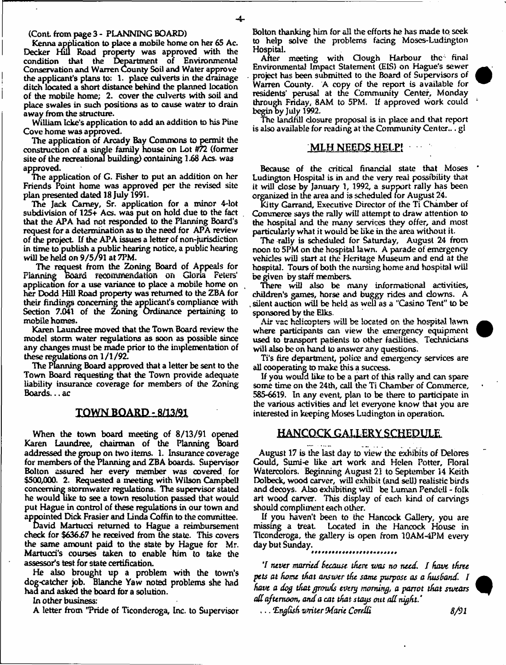#### (Cont from page 3 - PLANNING BOARD)

Kenna application to place a mobile home on her 65 Ac. Decker Hill Road property was approved with the condition that the Department of Environmental Conservation and Warren County Soil and Water approve the applicant's plans to: 1. place culverts in the drainage ditch located a short distance behind the planned location of the mobile home; 2. cover the culverts with soil and place swales in such positions as to cause water to drain away from the structure.

William Icke's application to add an addition to his Pine Cove home was approved.

The application of Arcady Bay Commons to permit the construction of a single family house on Lot #72 (former site of the recreational building) containing 1.68 Acs- was approved.

The application of G. Fisher to put an addition on her Friends Point home was approved per the revised site plan presented dated 18 July 1991.

The Jack Carney, Sr. application for a minor 4-lot subdivision of 125+ Acs. was put on hold due to the fact that the APA had not responded to the Planning Board's request for a determination as to the need for APA review of the project If the APA issues a letter of non-jurisdiction in time to publish a public hearing notice, a public hearing will be held on 9/5/91 at 7PM.

The request from the Zoning Board of Appeals for Planning Board recommendation on Gloria Peters' application tor a use variance to place a mobile home on her Dodd Hill Road property was returned to the ZBA tor their findings concerning the applicant's compliance with Section 7.041 of the Zoning Ordinance pertaining to mobile homes.

Karen Laundree moved that the Town Board review the model storm water regulations as soon as possible since any changes must be made prior to the implementation of these regulations on 1/1/92.

The Planning Board approved that a letter be sent to the Town Board requesting that the Town provide adequate liability insurance coverage tor members of the Zoning Boards... ac

## TOWN BOARD-8/13/91

When the town board meeting of 8/13/91 opened Karen Laundree, chairman of the Planning Board addressed the group on two items. 1. Insurance coverage for members of the Planning and ZBA boards. Supervisor Bolton assured her every member was covered for \$500,000. 2. Requested a meeting with Wilson Campbell concerning stormwater regulations. The supervisor stated he would like to see a town resolution passed that would put Hague in control of these regulations in our town and appointed Dick Frasier and Linda Coffin to the committee.

David Martucci returned to Hague a reimbursement check tor \$63667 he received from the state. This covers the same amount paid to the state by Hague tor Mr. Martucci's courses taken to enable him to take the assessor's test tor state certification.

He also brought up a problem with the town's dog-catcher job. Blanche Yaw noted problems she had had and asked the board tor a solution.

In other business:

A letter from "Pride of Ticonderoga, Inc. to Supervisor

Bolton thanking him tor all the efforts he has made to. seek to help solve the problems facing Moses-Ludington Hospital.

After meeting with Clough Harbour the final Environmental Impact Statement (EIS) on Hague's sewer project has been submitted to the Board of Supervisors of Warren County. A copy of the report is available for residents' perusal at the Community Center, Monday through Friday, 8AM to 5PM. If approved work could begin by July 1992.

The Landfill closure proposal is in place and that report is also available for reading at the Community Center,.. gl

#### MLH NEEDS HELP!

Because of the critical financial state that Moses Ludington Hospital is in and the very real possibility that it will close by January 1, 1992, a support rally has been organized in the area and is scheduled tor August 24.

Kitty Garrand, Executive Director of the Ti Chamber of Commerce says the rally will attempt to draw attention to the hospital and the many services they offer, and most particularly what it would be like in the area without it.

The rally is scheduled tor Saturday, August 24 from noon to 5PM on the hospital lawn. A parade of emergency vehicles will start at the Heritage Museum and end at the hospital. Tours of both the nursing home and hospital will be given by staff members.

There will also be many informational activities, children's games, horse and buggy rides and clowns. A , silent auction will be held as well as a "Casino Tent" to be sponsored by the Elks.

Air vac helicopters will be located on the hospital lawn where participants can view the emergency equipment used to transport patients to other facilities. Technicians will also be on hand to answer any questions.

Ti's fire department, police and emergency services are all cooperating to make this a success.

If you would like to be a part of this rally and can spare some time on the 24th, call the Ti Chamber of Commerce, 585-6619. In any event, plan to be there to participate in the various activities and let everyone know that you are interested in keeping Moses Ludington in operation.

## **HANCOCK GALLERY SCHEDULE**

August 17 is the last day to view the exhibits of Delores Could, Sumi-e tike art work and Helen Potter, Floral Watercolors. Beginning August 21 to September 14 Keith Do)beck, wood carver, will exhibit (and sell) realistic birds and decoys. Also exhibiting will be Luman Pendeti - folk art wooa carver. This display of each kind of carvings should compliment each other.

If you haven't been to the Hancock Gallery, you are missing a treat Located in the Hancock House in Ticonderoga, the gallery is open from 1QAM-4PM eveiy day but Sunday.

7 *ntvtr married Because inert was no need, I have three pets at home that answer the same purpose as a husband. I have a dog that growls every morning, a parrot that swears ad afternoon, and a cat that stays out ad night.\**

... *'English vnitir Odarie CoreM 8/91*

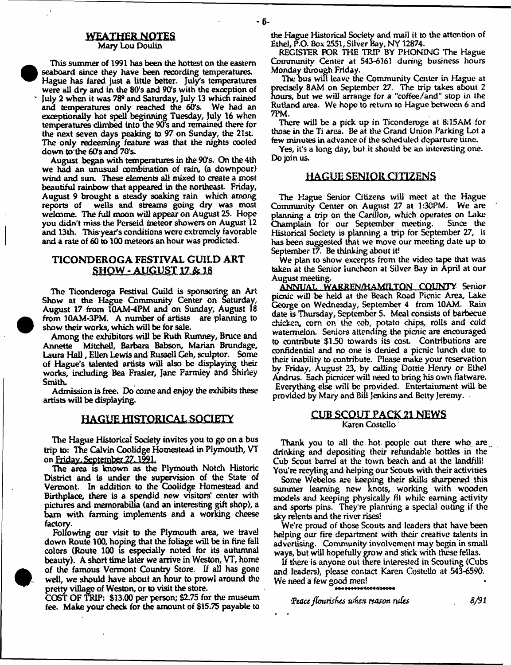#### **MEAXHEHNQIES** Mary Lou Doulin

This summer of 1991 has been the hottest on the eastern seaboard since they have been recording temperatures. Hague has fared just a little better. July's temperatures were all dry and in the 80's and 90's with the exception of July 2 when it was 78® and Saturday, July 13 which rained and temperatures only reached the 60's. We had an exceptionally hot spell beginning Tuesday, July 16 when temperatures climbed into the 90's and remained there for the next seven days peaking to 97 on Sunday, the 21st. The only redeeming feature was that the nights cooled down to the 60's and 70's.

August began with temperatures in the 90's. On the 4th we had an unusual combination of rain, (a downpour) wind and sun. These elements all mixed to create a most beautiful rainbow that appeared in the northeast Friday, August 9 brought a steady soaking rain which among reports of wells and streams going dry was most welcome. The full moon will appear on August 25. Hope you didn't miss the Perseid meteor showers on August 12 and 13th. Thisy ear's conditions were extremely favorable and a rate of 60 to 100 meteors an hour was predicted.

# TICONDEROGA FESTIVAL GUILD ART  $SHOW - AUGUST 17 & 18$

The Ticonderoga Festival Guild is sponsoring an Art Show at the Hague Community Center on Saturday, August 17 from IGAM-4PM and on Sunday, August 18 from 10AM-3PM. A number of artists are planning to show their works, which will be for sale.

Among the exhibitors will be Ruth Rumney, Bruce and Annette Mitchell, Barbara Babson, Marian Brundagp, Laura Hall, Ellen Lewis and Russell Geh, sculptor. Some of Hague's talented artists will also be displaying their works, including Bea Frasier, Jane Parmley and Shirley Smith.

Admission Is free. Do come and enjoy the exhibits these artists will be displaying.

## HAGUE HISTORICAL SOCIETY

The Hague Historical Society invites you to go on a bus trip to: The Calvin Coolidge Homestead in Plymouth, VT on Friday. September 27, 1991.

The area is known as the Plymouth Notch Historic District and is under the supervision of the State of Vermont. In addition to the Coolidge Homestead and Birthplace, there is a spendid new visitors' center with pictures and memorabilia (and an interesting gift shop), a bam with fanning implements and a working cheese factory.

Following our visit to the Plymouth area, we travel down Route 100, hoping that the foliage will be in fine fall colors (Route 100 is especially noted for its autumnal beauty). A short time later we arrive in Weston, VT, home of the famous Vermont Country Store. If all has gone well, we should have about an hour to prowl around the pretty village of Weston, or to visit the store.

COST OF TRIP: \$13.00 per person; \$2.75 for the museum fee. Make your check for the amount of \$15.75 payable to the Hague Historical Society and mail it to the attention of Ethel, P.O. Box 2551, Silver Bay, NY 12874.

REGISTER FOR THE TRIP BY PHONING The Hague Community Center at 543-6161 during business hours Monday through Friday.

The bus wifi leave the Community Center in Hague at precisely 8AM on September 27. The trip takes about 2 hours, but we will arrange for a "coffee/and" stop in the Rutland area. We hope to return to Hague between 6 and 7PM.

There will be a pick up in Ticonderoga at 8:15AM for those in the Ti area. Be at the Grand Union Parking Lot a few minutes in advance of the scheduled departure time.

Yes, it's a long day, but it should be an interesting one. Do join us.

## HAGUE SENIOR CITIZENS

The Hague Senior Citizens will meet at the Hague Community Center on August 27 at 1:30PM. We are planning a trip on the Carillon, which operates on Lake<br>Champlain for our September meeting. Since the Champlain for our September meeting. Historical Society is planning a trip tor September 27, it has been suggested that we move our meeting date up to September 17. Be thinking about it!

We plan to show excerpts from the video tape that was taken at the Senior luncheon at Silver Bay in April at our August meeting.

ANNUAL WARREN/HAMILTON COUNTY Senior picnic will be held at the Beach Road Picnic Area, Lake George on Wednesday, September 4 from 10AM. Rain date is Thursday, September 5. Meal consists of barbecue chicken, com on the cob, potato chips, rolls and cold watermelon. Seniors attending the picnic are encouraged to contribute \$150 towards its cost. Contributions are confidential arid no one is denied a picnic lunch due to their inability to contribute. Please make your reservation by Friday, August 23, by calling Dottie Henry or Ethel Andrus. Each picnicer will need to bring his own flatware. Everything else will be provided. Entertainment will be provided by Mary and Bill Jenkins and Betty Jeremy.

### CUB SCOUT PACK 21 NEWS Karen Costello

Thank you to all the hot people out there who are drinking and depositing their refundable bottles in the Cub Scout barrel at the town beach and at the landfill! You're recyling and helping our Scouts with their activities

Some Webelos are keeping their skills sharpened this summer learning new knots, working with wooden models and keeping physically fit while earning activity and sports pins. They're planning a special outing if the skv relents and the river rises!

We're proud of those Scouts and leaders that have been helping our fire department with their creative talents in advertising. Community involvement may begin in small ways, but will hopefully grow and stick with these fellas.

If there is anyone out there interested in Scouting (Cubs and leaders), please contact Karen Costello at 543-6590. We need a few good men!

*{Pcuu flmrisfuts ivfisn reason rules 8/91*

- 5-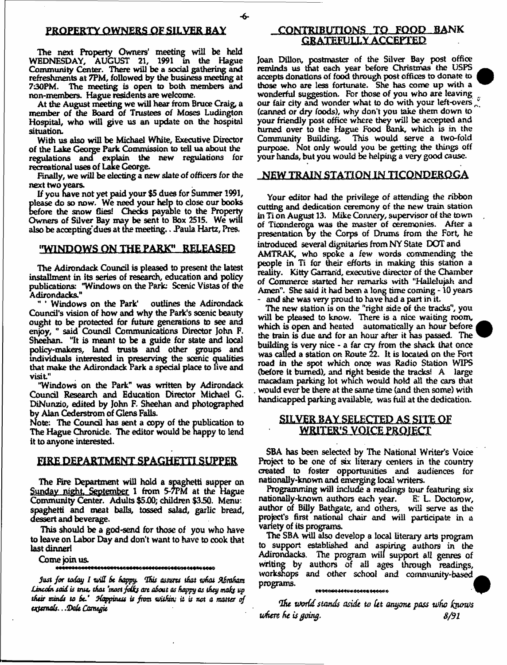-6-

The next Property Owners' meeting will be held WEDNESDAY, AUGUST 21, 1991 in the Hague Community Center. There will be a social gathering and refreshments at 7PM, followed by the business meeting at 7:30PM. The meeting is open to both members and non-members. Hague residents are welcome.

At the August meeting we will hear from Bruce Craig, a member of the Board of Trustees of Moses Ludington Hospital, who will give us an update on the hospital situation.

With us also will be Michael White, Executive Director of the Lake George Park Commission to tell ua about the regulations ana explain the new regulations for recreational uses of Lake George.

Finally, we will be electing a new slate of officers for the next two years.

If you have not yet paid your \$5 dues for Summer 1991, please do so now. We need your help to close our books before the snow flies! Checks payable to the Property Owners of Silver Bay may be sent to Box 2515. We will also be accepting dues at the meeting.. Paula Hartz, Pres.

# "WINDOWS ON THE PARK" RELEASED

The Adirondack Council is pleased to present the latest installment in its series of research, education and policy publications: "Windows on the Parle Scenic Vistas of the Adirondacks."<br>"' Windows on the Park'

outlines the Adirondack Council's vision of how and why the Park's scenic beauty ought to be protected for future generations to see and enjoy, " said Council Communications Director John F. Sheehan. "It is meant to be a guide for state and local policy-makers, land trusts and other groups and individuals interested in preserving the scenic qualities that make the Adirondack Park a special place to live and visit"

"Windows on the Park" was written by Adirondack Council Research and Education Director Michael G. DiNunzio, edited by John F. Sheehan and photographed by Alan Cederstrom of Glens Falls.

Note: The Council has sent a copy of the publication to The Hague Chronicle. The editor would be nappy to lend it to anyone interested.

### FIRE DEPARTMENT SPAGHETTI SUPPER

The Fire Department will hold a spaghetti supper on Sunday night, September 1 from 5-7PM at the Hague Community Center. Adults \$5.00; children \$350. Menu: spaghetti and meat balls, tossed salad, garlic bread, dessert and beverage.

This should be a god-send for those of you who have to leave on Labor Day and don't want to have to cook that last dinner!

Come join us.

*Just for today I will be happy. This assures that what Abraham* Lincoln said is true, that 'most folks are about as happy as they make up *tfusr minds to St.\* jfappuws is frost tuiiSnu it is net a matter of totfemals.. .Ooit Ccmtyit*

# CONTRIBUTIONS TO FOOD BANK GRATEFULLY ACCEPTED

Joan Dillon, postmaster of the Silver Bay post office reminds us that each year before Christmas the USPS accepts donations of food through post offices to donate to those who are less fortunate. She has come up with a wonderful suggestion. For those of you who are leaving our fair city and wonder what to do with your left-overs (canned or dry foods), why don't you take them down to your friendly post office where they will be accepted and turned over to the Hague Food Bank, which is in the Community Building. This would serve a two-fold purpose. Not only would you be getting the things off your hands, but you would be helping a very good cause.

#### NEW TRAIN STATION IN TICONDEROGA

Your editor had the privilege of attending the ribbon cutting and dedication ceremony of the new train station in Ti on August 13. Mike Connery, supervisor of the town of Ticonderoga was the master of ceremonies. After a presentation by the Corps of Drums from the Fort, he introduced several dignitaries from NY State DOT and AMTRAK, who spoke a few words commending the people in Ti for their efforts in making this station a reality. Kitty Garrand, executive director of the Chamber of Commerce started her remarks with "Hallelujah and Amen". She said it had been a long time coming -10 years and she was very proud to have had a part in it.

The new station is on the "right side of the tracks", you will be pleased to know. There is a nice waiting room, which is open and heated automatically an hour before the train is due and for an hour after it has passed The building is very nice - a far cry from the shack that once was called a station on Route 22. It is located on the Fori road in the spot which once was Radio Station W1PS (before it burned), and right beside the tracks! A large macadam parking lot which would hold all the cars that would ever be there at the same time (and then some) with handicapped parking available, was full at the dedication.

# SILVER BAY SELECTED AS SITE OF **WRITER'S VOICE PROJECT**

SBA has been selected by The National Writer's Voice Project to be one of six literary centers in the country created to foster opportunities and audiences for nationally-known and emerging local writers.

Programming will indude a readings tour featuring six nationally-known authors each year. E: L. Doctorow, author of Billy Bathgate, and others, will serve as the project's first national chair and will participate in a variety of its programs.

The SBA will also develop a local literary arts program to support established and aspiring authors in the Adirondacks. The program will support all genres of writing by authors of all ages through readings, workshops and other school and community-based programs.

**ESQEC<del>OG 444</del>648044<del>64460</del>65** 

*utottestands aside to Ut anyone pass Who faum/s uhere he is going.*  $8/91$ 

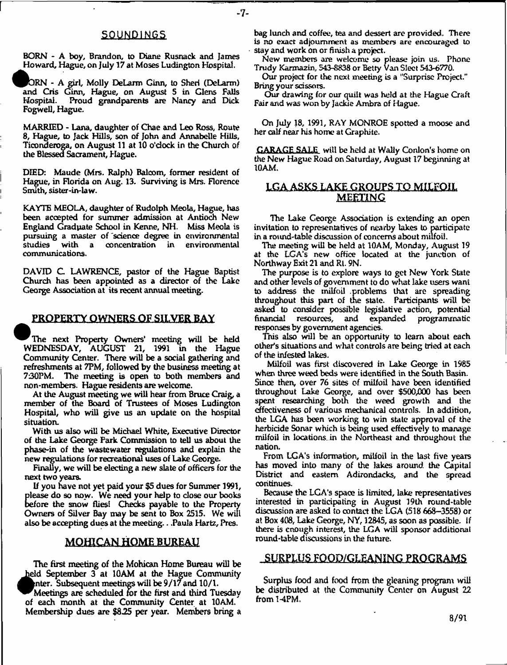## **SOUNDINGS**

- 7-

BORN - A boy, Brandon, to Diane Rusnack and James Howard, Hague, on July 17 at Moses Ludington Hospital.

ORN - A girl, Molly DeLarm Ginn, to Sheri (DeLarm) and Cris Ginn, Hague, on August 5 in Glens Falls Hospital. Proud grandparents are Nancy and Dick Fogwell, Hague.

MARRIED - Lana, daughter of Chae and Leo Ross, Route 8, Hague, to Jack HiUs, son of John and Annabelle Hills, Ticonderoga, on August 11 at 10 o'clock in the Church of the Blessed Sacrament, Hague.

DIED: Maude (Mrs. Ralph) Baloom, former resident of Hague, in Florida on Aug. 13. Surviving is Mrs. Florence Smith, sister-in-law.

KAYTE MEOLA, daughter of Rudolph Meola, Hague, has been accepted for summer admission at Antioch New England Graduate School in Kenne, NH. Miss Meola is pursuing a master of "science degree in environmental with a concentration in environmental communications.

DAVID C LAWRENCE, pastor of the Hague Baptist Church has been appointed as a director of the Lake George Association at its recent annual meeting.

# PROPERTY OWNERS OF SILVER BAY

^The next Property Owners' meeting will be held WEDNESDAY, AUGUST 21, 1991 in the Hague Community Center. There will be a social gathering and refreshments at 7PM, followed by the business meeting at 730PM. The meeting is open to both members and non-members. Hague residents are welcome.

At the August meeting we will hear from Bruce Craig, a member of the Board of Trustees of Moses Ludington Hospital, who will give us an update on the hospital situation.

With us also will be Michael White, Executive Director of the Lake George Park Commission to tell us about the phase-in of the wastewater regulations and explain the new regulations for recreational uses of Lake George.

Finally, we will be electing a new slate of officers for the next two years.

If you have not yet paid your \$5 dues for Summer 1991, please do so now. We need your help to close our books before the snow flies! Checks payable to the Property Owners of Silver Bay may be sent to Box 2515. We will also be accepting dues at the meeting. . .Paula Hartz, Pres.

## MOHICAN HOME BUREAU

The first meeting of the Mohican Home Bureau will be held September 3 at 10AM at the Hague Community enter. Subsequent meetings will be  $9/17$  and  $10/1$ .

^^M eetings are scheduled tor the first and third Tuesday of each month at the Community Center at 10AM. Membership dues are \$8.25 per year. Members bring a bag lunch and coffee, tea and dessert are provided. There is no exact adjournment as members are encouraged to stay and work on or finish a project.

New members are welcome so please join us. Phone Trudy Karmazin, 543-8838 or Betty Van Sleet 543-6770.

Our project for the next meeting is a "Surprise Project." Bring your scissors.

Our drawing for our quilt was held at the Hague Craft Fair and was won by Jackie Ambra of Hague.

On July 18, 1991, RAY MONROE spotted a moose and her calf near his home at Graphite.

GARAGE SALE will be held at Waliy Conlon's home on the New Hague Road on Saturday, August 17 beginning at 10AM.

# **LGA ASKS-LAKE..CRQUFS TO M ILFOIL** MEETING

The Lake George Association is extending an open invitation to representatives of nearby lakes to participate in a round-table discussion of concerns about milfoil.

The meeting will be held at 10AM, Monday, August 19 at die LGA's new office located at the junction of Northway Exit 21 and Rt. 9N.

The purpose is to explore ways to get New York State and other levels of government to do what lake users want to address the milfoil problems that are spreading throughout this part of the state. Participants will be asked to consider possible legislative action, potential financial resources, and expanded programmatic responses by government agencies.

This also will be an opportunity to learn about each other's situations and what controls are being tried at each of the infested lakes.

Milfoil was first discovered in Lake George in 1985 when three weed beds were identified in the South Basin. Since then, over 76 sites of milfoil have been identified throughout Lake George, and over \$500,000 has been spent researching both die weed growth and the effectiveness of various mechanical controls, in addition, the LGA has been working to win state approval of the herbicide Sonar which is being used effectively to manage milfoil in locations, in the Northeast and throughout the nation.

From LGA's information, milfoil in the last five years has moved into many of the lakes around the Capital District and eastern Adirondacks, and the spread continues.

Because the LGA's space is limited, lake representatives interested in participating in August 19th round-table discussion are asked to contact the LGA (518 668-3558) or at Box 408, Lake George, NY, 12845, as soon as possible. If there is enough interest, the LGA will sponsor additional round-table discussions in the future.

## SURPLUS FOOD/GLEANING PROGRAMS

Surplus food and food from the gleaning program will be distributed at the Community Center on August 22 from 1-4PM.